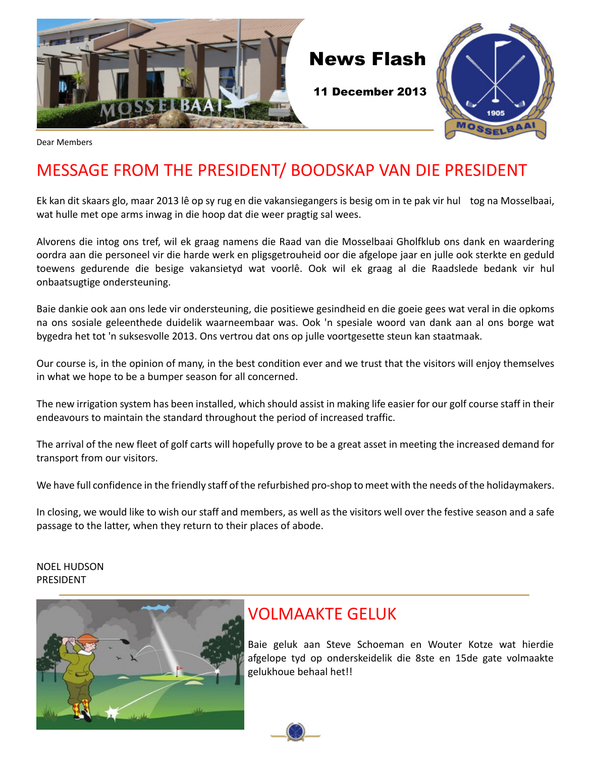

Dear Members

#### MESSAGE FROM THE PRESIDENT/ BOODSKAP VAN DIE PRESIDENT

Ek kan dit skaars glo, maar 2013 lê op sy rug en die vakansiegangers is besig om in te pak vir hul tog na Mosselbaai, wat hulle met ope arms inwag in die hoop dat die weer pragtig sal wees.

Alvorens die intog ons tref, wil ek graag namens die Raad van die Mosselbaai Gholfklub ons dank en waardering oordra aan die personeel vir die harde werk en pligsgetrouheid oor die afgelope jaar en julle ook sterkte en geduld toewens gedurende die besige vakansietyd wat voorlê. Ook wil ek graag al die Raadslede bedank vir hul onbaatsugtige ondersteuning.

Baie dankie ook aan ons lede vir ondersteuning, die positiewe gesindheid en die goeie gees wat veral in die opkoms na ons sosiale geleenthede duidelik waarneembaar was. Ook 'n spesiale woord van dank aan al ons borge wat bygedra het tot 'n suksesvolle 2013. Ons vertrou dat ons op julle voortgesette steun kan staatmaak.

Our course is, in the opinion of many, in the best condition ever and we trust that the visitors will enjoy themselves in what we hope to be a bumper season for all concerned.

The new irrigation system has been installed, which should assist in making life easier for our golf course staff in their endeavours to maintain the standard throughout the period of increased traffic.

The arrival of the new fleet of golf carts will hopefully prove to be a great asset in meeting the increased demand for transport from our visitors.

We have full confidence in the friendly staff of the refurbished pro-shop to meet with the needs of the holidaymakers.

In closing, we would like to wish our staff and members, as well as the visitors well over the festive season and a safe passage to the latter, when they return to their places of abode.

#### NOEL HUDSON PRESIDENT



#### VOLMAAKTE GELUK

Baie geluk aan Steve Schoeman en Wouter Kotze wat hierdie afgelope tyd op onderskeidelik die 8ste en 15de gate volmaakte gelukhoue behaal het!!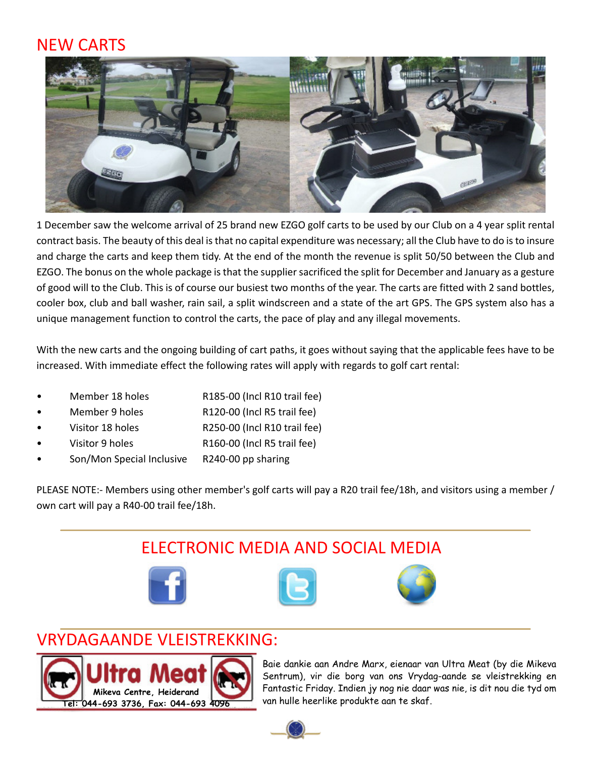### NEW CARTS



1 December saw the welcome arrival of 25 brand new EZGO golf carts to be used by our Club on a 4 year split rental contract basis. The beauty of this deal is that no capital expenditure was necessary; all the Club have to do is to insure and charge the carts and keep them tidy. At the end of the month the revenue is split 50/50 between the Club and EZGO. The bonus on the whole package is that the supplier sacrificed the split for December and January as a gesture of good will to the Club. This is of course our busiest two months of the year. The carts are fitted with 2 sand bottles, cooler box, club and ball washer, rain sail, a split windscreen and a state of the art GPS. The GPS system also has a unique management function to control the carts, the pace of play and any illegal movements.

With the new carts and the ongoing building of cart paths, it goes without saying that the applicable fees have to be increased. With immediate effect the following rates will apply with regards to golf cart rental:

- Member 18 holes R185-00 (Incl R10 trail fee)
- Member 9 holes R120-00 (Incl R5 trail fee)
- Visitor 18 holes R250-00 (Incl R10 trail fee)
- Visitor 9 holes R160-00 (Incl R5 trail fee)
- Son/Mon Special Inclusive R240-00 pp sharing

PLEASE NOTE:- Members using other member's golf carts will pay a R20 trail fee/18h, and visitors using a member / own cart will pay a R40-00 trail fee/18h.



#### VRYDAGAANDE VLEISTREKKING:



Baie dankie aan Andre Marx, eienaar van Ultra Meat (by die Mikeva Sentrum), vir die borg van ons Vrydag-aande se vleistrekking en Fantastic Friday. Indien jy nog nie daar was nie, is dit nou die tyd om van hulle heerlike produkte aan te skaf.

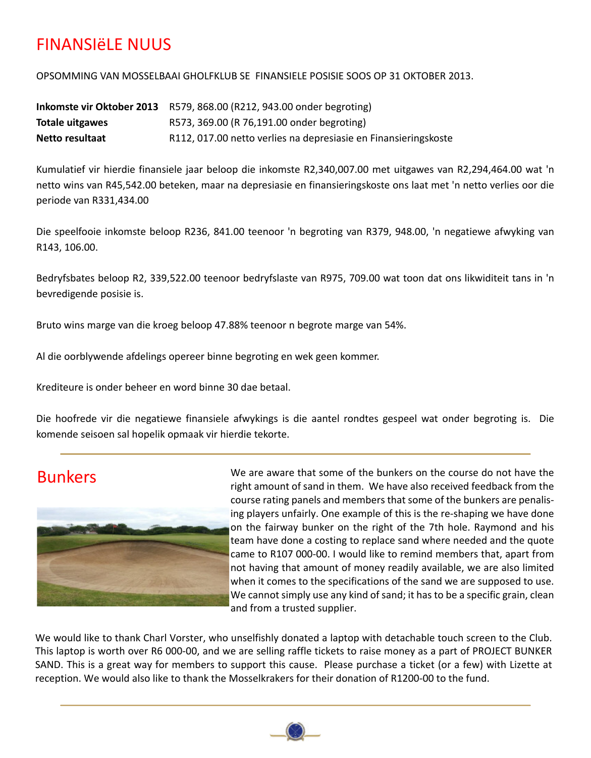#### FINANSIëLE NUUS

OPSOMMING VAN MOSSELBAAI GHOLFKLUB SE FINANSIELE POSISIE SOOS OP 31 OKTOBER 2013.

**Inkomste vir Oktober 2013** R579, 868.00 (R212, 943.00 onder begroting) **Totale uitgawes** R573, 369.00 (R 76,191.00 onder begroting) **Netto resultaat** R112, 017.00 netto verlies na depresiasie en Finansieringskoste

Kumulatief vir hierdie finansiele jaar beloop die inkomste R2,340,007.00 met uitgawes van R2,294,464.00 wat 'n netto wins van R45,542.00 beteken, maar na depresiasie en finansieringskoste ons laat met 'n netto verlies oor die periode van R331,434.00

Die speelfooie inkomste beloop R236, 841.00 teenoor 'n begroting van R379, 948.00, 'n negatiewe afwyking van R143, 106.00.

Bedryfsbates beloop R2, 339,522.00 teenoor bedryfslaste van R975, 709.00 wat toon dat ons likwiditeit tans in 'n bevredigende posisie is.

Bruto wins marge van die kroeg beloop 47.88% teenoor n begrote marge van 54%.

Al die oorblywende afdelings opereer binne begroting en wek geen kommer.

Krediteure is onder beheer en word binne 30 dae betaal.

Die hoofrede vir die negatiewe finansiele afwykings is die aantel rondtes gespeel wat onder begroting is. Die komende seisoen sal hopelik opmaak vir hierdie tekorte.



**Bunkers** We are aware that some of the bunkers on the course do not have the right amount of sand in them. We have also received feedback from the course rating panels and members that some of the bunkers are penalising players unfairly. One example of this is the re-shaping we have done on the fairway bunker on the right of the 7th hole. Raymond and his team have done a costing to replace sand where needed and the quote came to R107 000-00. I would like to remind members that, apart from not having that amount of money readily available, we are also limited when it comes to the specifications of the sand we are supposed to use. We cannot simply use any kind of sand; it has to be a specific grain, clean and from a trusted supplier.

We would like to thank Charl Vorster, who unselfishly donated a laptop with detachable touch screen to the Club. This laptop is worth over R6 000-00, and we are selling raffle tickets to raise money as a part of PROJECT BUNKER SAND. This is a great way for members to support this cause. Please purchase a ticket (or a few) with Lizette at reception. We would also like to thank the Mosselkrakers for their donation of R1200-00 to the fund.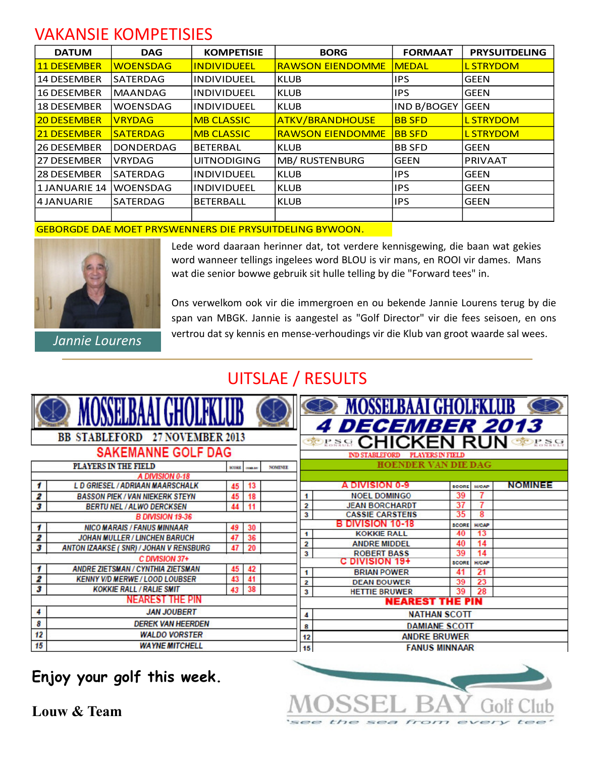#### VAKANSIE KOMPETISIES

| <b>DATUM</b>       | <b>DAG</b>       | <b>KOMPETISIE</b>  | <b>BORG</b>             | <b>FORMAAT</b>     | <b>PRYSUITDELING</b> |  |
|--------------------|------------------|--------------------|-------------------------|--------------------|----------------------|--|
| 11 DESEMBER        | <b>WOENSDAG</b>  | <b>INDIVIDUEEL</b> | <b>RAWSON EIENDOMME</b> | <b>MEDAL</b>       | <b>LSTRYDOM</b>      |  |
| 14 DESEMBER        | <b>SATERDAG</b>  | <b>INDIVIDUEEL</b> | KLUB                    | <b>IPS</b>         | <b>GEEN</b>          |  |
| 16 DESEMBER        | <b>MAANDAG</b>   | INDIVIDUEEL        | KLUB                    | <b>IPS</b>         | <b>GEEN</b>          |  |
| 18 DESEMBER        | <b>WOENSDAG</b>  | <b>INDIVIDUEEL</b> | KLUB                    | <b>IND B/BOGEY</b> | <b>GEEN</b>          |  |
| <b>20 DESEMBER</b> | <b>VRYDAG</b>    | <b>MB CLASSIC</b>  | <b>ATKV/BRANDHOUSE</b>  | <b>BB SFD</b>      | <b>LSTRYDOM</b>      |  |
| <b>21 DESEMBER</b> | <b>SATERDAG</b>  | <b>MB CLASSIC</b>  | <b>RAWSON EIENDOMME</b> | <b>BB SFD</b>      | <b>L STRYDOM</b>     |  |
| l26 DESEMBER       | <b>DONDERDAG</b> | BETERBAL           | KLUB                    | <b>BB SFD</b>      | <b>GEEN</b>          |  |
| 127 DESEMBER       | <b>VRYDAG</b>    | <b>UITNODIGING</b> | MB/ RUSTENBURG          | <b>GEEN</b>        | PRIVAAT              |  |
| 28 DESEMBER        | <b>SATERDAG</b>  | <b>INDIVIDUEEL</b> | IKLUB                   | <b>IPS</b>         | <b>GEEN</b>          |  |
| 1 JANUARIE 14      | <b>WOENSDAG</b>  | <b>INDIVIDUEEL</b> | KLUB                    | <b>IPS</b>         | <b>GEEN</b>          |  |
| 4 JANUARIE         | <b>SATERDAG</b>  | <b>BETERBALL</b>   | KLUB                    | <b>IPS</b>         | <b>GEEN</b>          |  |
|                    |                  |                    |                         |                    |                      |  |

#### GEBORGDE DAE MOET PRYSWENNERS DIE PRYSUITDELING BYWOON.



Lede word daaraan herinner dat, tot verdere kennisgewing, die baan wat gekies word wanneer tellings ingelees word BLOU is vir mans, en ROOI vir dames. Mans wat die senior bowwe gebruik sit hulle telling by die "Forward tees" in.

Ons verwelkom ook vir die immergroen en ou bekende Jannie Lourens terug by die span van MBGK. Jannie is aangestel as "Golf Director" vir die fees seisoen, en ons vertrou dat sy kennis en mense-verhoudings vir die Klub van groot waarde sal wees. *Jannie Lourens*

#### UITSLAE / RESULTS

|                                                                          |                                                |    |                            |                                                        |                                                                                  | <b>MOSSELBAAI GHOLFKLUB</b> |              |              |                |  |
|--------------------------------------------------------------------------|------------------------------------------------|----|----------------------------|--------------------------------------------------------|----------------------------------------------------------------------------------|-----------------------------|--------------|--------------|----------------|--|
| <b>27 NOVEMBER 2013</b><br><b>BB STABLEFORD</b>                          |                                                |    |                            |                                                        | <i><b>4 DECEMBER 2013</b></i><br><b>CHICKEN RUN SERRE</b><br>$P_{\text{KONRUE}}$ |                             |              |              |                |  |
| <b>SAKEMANNE GOLF DAG</b>                                                |                                                |    |                            | <b>PLAYERS IN FIELD</b><br><b><i>ND STABLEFORD</i></b> |                                                                                  |                             |              |              |                |  |
| PLAYERS IN THE FIELD<br><b>NOMINEE</b><br><b>SCORE</b><br><b>COMMAND</b> |                                                |    | <b>HOENDER VAN DIE DAG</b> |                                                        |                                                                                  |                             |              |              |                |  |
|                                                                          | A DIVISION 0-18                                |    |                            |                                                        |                                                                                  |                             |              |              |                |  |
| 1                                                                        | <b>LD GRIESEL / ADRIAAN MAARSCHALK</b>         | 45 | 13                         |                                                        |                                                                                  | A DIVISION 0-9              | BOORE        | <b>H/OAP</b> | <b>NOMINEE</b> |  |
| 2                                                                        | <b>BASSON PIEK / VAN NIEKERK STEYN</b>         | 45 | 18                         |                                                        | 1                                                                                | <b>NOEL DOMINGO</b>         | 39           |              |                |  |
| з                                                                        | <b>BERTU NEL / ALWO DERCKSEN</b>               | 44 | 11                         |                                                        | 2                                                                                | <b>JEAN BORCHARDT</b>       | 37           | 7            |                |  |
| <b>B DIVISION 19-36</b>                                                  |                                                |    |                            |                                                        | 3                                                                                | <b>CASSIE CARSTENS</b>      | 35           | 8            |                |  |
| 1                                                                        | <b>NICO MARAIS / FANUS MINNAAR</b>             | 49 | 30                         |                                                        |                                                                                  | <b>B DIVISION 10-18</b>     | <b>SCORE</b> | <b>H/CAP</b> |                |  |
| 2                                                                        | JOHAN MULLER / LINCHEN BARUCH                  | 47 | 36                         |                                                        | 1                                                                                | <b>KOKKIE RALL</b>          | 40           | 13           |                |  |
| 3                                                                        | <b>ANTON IZAAKSE ( SNR) / JOHAN V RENSBURG</b> | 47 | 20                         |                                                        | 2                                                                                | <b>ANDRE MIDDEL</b>         | 40           | 14           |                |  |
| C DIVISION 37+                                                           |                                                |    |                            |                                                        | 3                                                                                | <b>ROBERT BASS</b>          | 39           | 14           |                |  |
|                                                                          | <b>ANDRE ZIETSMAN / CYNTHIA ZIETSMAN</b>       | 45 | 42                         |                                                        |                                                                                  | <b>C DIVISION 19+</b>       | <b>SCORE</b> | <b>H/CAP</b> |                |  |
| 2                                                                        | <b>KENNY V/D MERWE / LOOD LOUBSER</b>          | 43 | 41                         |                                                        | 1                                                                                | <b>BRIAN POWER</b>          | 41           | 21           |                |  |
| з                                                                        | <b>KOKKIE RALL / RALIE SMIT</b>                | 43 | 38                         |                                                        | 2                                                                                | <b>DEAN BOUWER</b>          | 39<br>39     | 23           |                |  |
| <b>NEAREST THE PIN</b>                                                   |                                                |    |                            |                                                        | 3                                                                                | <b>HETTIE BRUWER</b>        |              | 28           |                |  |
|                                                                          |                                                |    |                            | <b>NEAREST THE PIN</b>                                 |                                                                                  |                             |              |              |                |  |
| 4                                                                        | <b>JAN JOUBERT</b>                             |    |                            |                                                        |                                                                                  | <b>NATHAN SCOTT</b><br>4    |              |              |                |  |
| 8                                                                        | <b>DEREK VAN HEERDEN</b>                       |    |                            |                                                        | 8                                                                                | <b>DAMIANE SCOTT</b>        |              |              |                |  |
| 12                                                                       | <b>WALDO VORSTER</b>                           |    |                            |                                                        |                                                                                  | <b>ANDRE BRUWER</b><br>12   |              |              |                |  |
| 15<br><b>WAYNE MITCHELL</b>                                              |                                                |    |                            |                                                        | 15                                                                               | <b>FANUS MINNAAR</b>        |              |              |                |  |

**Enjoy your golf this week.**



**Louw & Team**